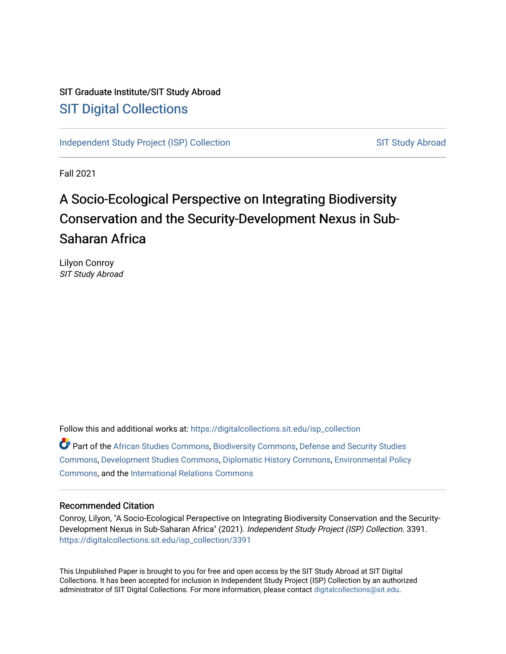# SIT Graduate Institute/SIT Study Abroad [SIT Digital Collections](https://digitalcollections.sit.edu/)

[Independent Study Project \(ISP\) Collection](https://digitalcollections.sit.edu/isp_collection) [SIT Study Abroad](https://digitalcollections.sit.edu/study_abroad) SIT Study Abroad

Fall 2021

# A Socio-Ecological Perspective on Integrating Biodiversity Conservation and the Security-Development Nexus in Sub-Saharan Africa

Lilyon Conroy SIT Study Abroad

Follow this and additional works at: [https://digitalcollections.sit.edu/isp\\_collection](https://digitalcollections.sit.edu/isp_collection?utm_source=digitalcollections.sit.edu%2Fisp_collection%2F3391&utm_medium=PDF&utm_campaign=PDFCoverPages)  Part of the [African Studies Commons,](http://network.bepress.com/hgg/discipline/1043?utm_source=digitalcollections.sit.edu%2Fisp_collection%2F3391&utm_medium=PDF&utm_campaign=PDFCoverPages) [Biodiversity Commons](http://network.bepress.com/hgg/discipline/1127?utm_source=digitalcollections.sit.edu%2Fisp_collection%2F3391&utm_medium=PDF&utm_campaign=PDFCoverPages), [Defense and Security Studies](http://network.bepress.com/hgg/discipline/394?utm_source=digitalcollections.sit.edu%2Fisp_collection%2F3391&utm_medium=PDF&utm_campaign=PDFCoverPages)  [Commons](http://network.bepress.com/hgg/discipline/394?utm_source=digitalcollections.sit.edu%2Fisp_collection%2F3391&utm_medium=PDF&utm_campaign=PDFCoverPages), [Development Studies Commons](http://network.bepress.com/hgg/discipline/1422?utm_source=digitalcollections.sit.edu%2Fisp_collection%2F3391&utm_medium=PDF&utm_campaign=PDFCoverPages), [Diplomatic History Commons](http://network.bepress.com/hgg/discipline/497?utm_source=digitalcollections.sit.edu%2Fisp_collection%2F3391&utm_medium=PDF&utm_campaign=PDFCoverPages), [Environmental Policy](http://network.bepress.com/hgg/discipline/1027?utm_source=digitalcollections.sit.edu%2Fisp_collection%2F3391&utm_medium=PDF&utm_campaign=PDFCoverPages)  [Commons](http://network.bepress.com/hgg/discipline/1027?utm_source=digitalcollections.sit.edu%2Fisp_collection%2F3391&utm_medium=PDF&utm_campaign=PDFCoverPages), and the [International Relations Commons](http://network.bepress.com/hgg/discipline/389?utm_source=digitalcollections.sit.edu%2Fisp_collection%2F3391&utm_medium=PDF&utm_campaign=PDFCoverPages) 

### Recommended Citation

Conroy, Lilyon, "A Socio-Ecological Perspective on Integrating Biodiversity Conservation and the Security-Development Nexus in Sub-Saharan Africa" (2021). Independent Study Project (ISP) Collection. 3391. [https://digitalcollections.sit.edu/isp\\_collection/3391](https://digitalcollections.sit.edu/isp_collection/3391?utm_source=digitalcollections.sit.edu%2Fisp_collection%2F3391&utm_medium=PDF&utm_campaign=PDFCoverPages) 

This Unpublished Paper is brought to you for free and open access by the SIT Study Abroad at SIT Digital Collections. It has been accepted for inclusion in Independent Study Project (ISP) Collection by an authorized administrator of SIT Digital Collections. For more information, please contact [digitalcollections@sit.edu](mailto:digitalcollections@sit.edu).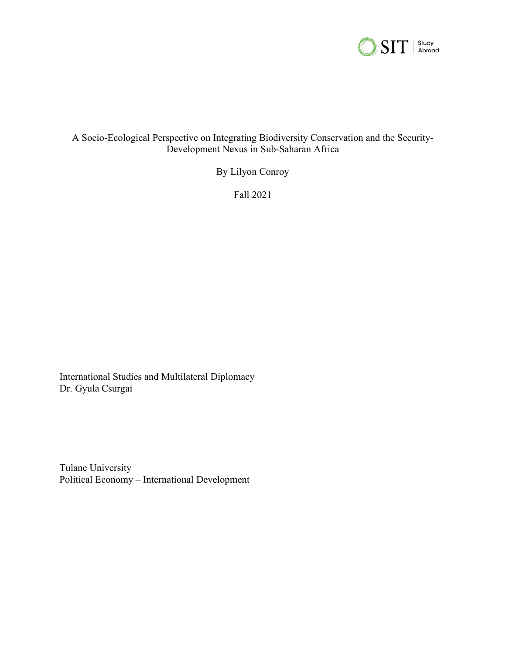

# A Socio-Ecological Perspective on Integrating Biodiversity Conservation and the Security-Development Nexus in Sub-Saharan Africa

By Lilyon Conroy

Fall 2021

International Studies and Multilateral Diplomacy Dr. Gyula Csurgai

Tulane University Political Economy – International Development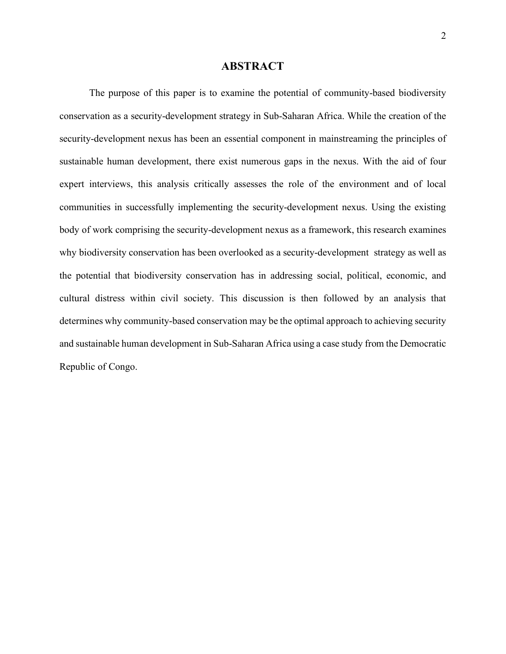### **ABSTRACT**

<span id="page-2-0"></span>The purpose of this paper is to examine the potential of community-based biodiversity conservation as a security-development strategy in Sub-Saharan Africa. While the creation of the security-development nexus has been an essential component in mainstreaming the principles of sustainable human development, there exist numerous gaps in the nexus. With the aid of four expert interviews, this analysis critically assesses the role of the environment and of local communities in successfully implementing the security-development nexus. Using the existing body of work comprising the security-development nexus as a framework, this research examines why biodiversity conservation has been overlooked as a security-development strategy as well as the potential that biodiversity conservation has in addressing social, political, economic, and cultural distress within civil society. This discussion is then followed by an analysis that determines why community-based conservation may be the optimal approach to achieving security and sustainable human development in Sub-Saharan Africa using a case study from the Democratic Republic of Congo.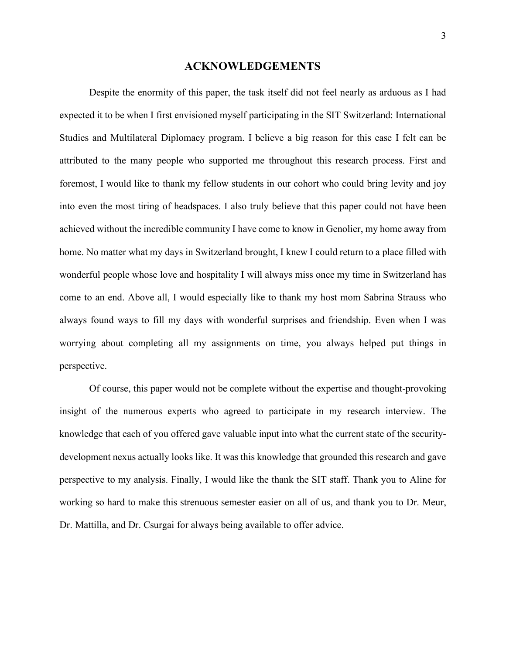### **ACKNOWLEDGEMENTS**

<span id="page-3-0"></span>Despite the enormity of this paper, the task itself did not feel nearly as arduous as I had expected it to be when I first envisioned myself participating in the SIT Switzerland: International Studies and Multilateral Diplomacy program. I believe a big reason for this ease I felt can be attributed to the many people who supported me throughout this research process. First and foremost, I would like to thank my fellow students in our cohort who could bring levity and joy into even the most tiring of headspaces. I also truly believe that this paper could not have been achieved without the incredible community I have come to know in Genolier, my home away from home. No matter what my days in Switzerland brought, I knew I could return to a place filled with wonderful people whose love and hospitality I will always miss once my time in Switzerland has come to an end. Above all, I would especially like to thank my host mom Sabrina Strauss who always found ways to fill my days with wonderful surprises and friendship. Even when I was worrying about completing all my assignments on time, you always helped put things in perspective.

Of course, this paper would not be complete without the expertise and thought-provoking insight of the numerous experts who agreed to participate in my research interview. The knowledge that each of you offered gave valuable input into what the current state of the securitydevelopment nexus actually looks like. It was this knowledge that grounded this research and gave perspective to my analysis. Finally, I would like the thank the SIT staff. Thank you to Aline for working so hard to make this strenuous semester easier on all of us, and thank you to Dr. Meur, Dr. Mattilla, and Dr. Csurgai for always being available to offer advice.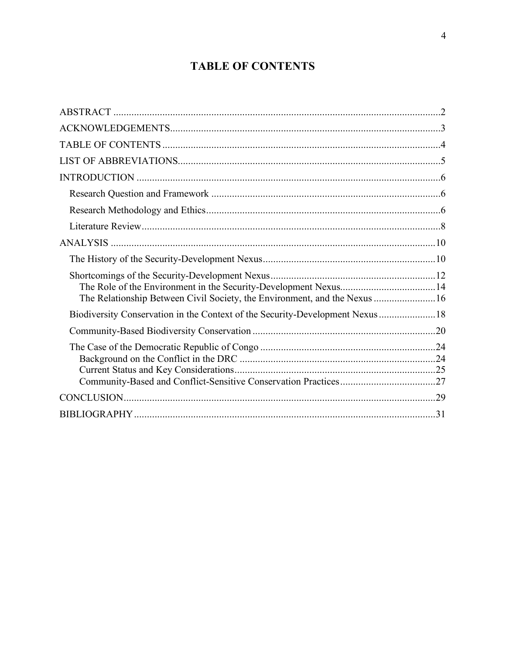# **TABLE OF CONTENTS**

<span id="page-4-0"></span>

| The Relationship Between Civil Society, the Environment, and the Nexus 16      |  |
|--------------------------------------------------------------------------------|--|
| Biodiversity Conservation in the Context of the Security-Development Nexus  18 |  |
|                                                                                |  |
|                                                                                |  |
|                                                                                |  |
|                                                                                |  |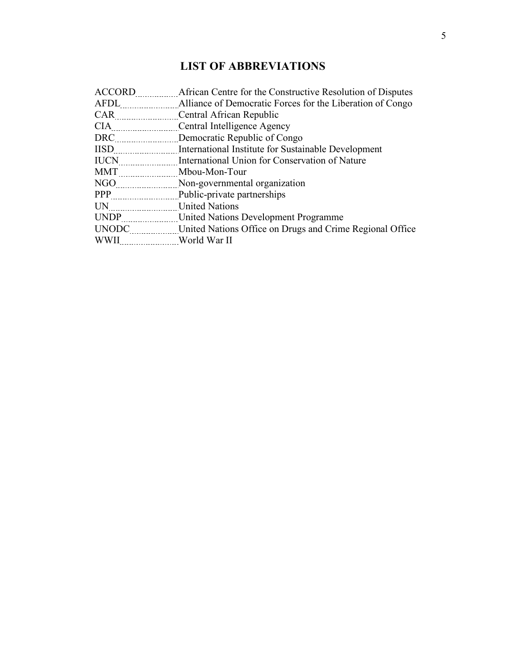# **LIST OF ABBREVIATIONS**

<span id="page-5-0"></span>

| ACCORD                                                                                                                                                                                                                          | African Centre for the Constructive Resolution of Disputes |
|---------------------------------------------------------------------------------------------------------------------------------------------------------------------------------------------------------------------------------|------------------------------------------------------------|
|                                                                                                                                                                                                                                 |                                                            |
| CAR                                                                                                                                                                                                                             | Central African Republic                                   |
| CIA                                                                                                                                                                                                                             | Central Intelligence Agency                                |
| DRC                                                                                                                                                                                                                             | Democratic Republic of Congo                               |
| <b>IISD</b>                                                                                                                                                                                                                     | International Institute for Sustainable Development        |
| <b>IUCN</b><br>.                                                                                                                                                                                                                | International Union for Conservation of Nature             |
| MMT                                                                                                                                                                                                                             | Mbou-Mon-Tour                                              |
| NGO NGO NGO NASA NA MATATA NA MATATA NA MATATA NA MATATA NA MATATA NA MATATA NA MATATA NA MATATA NA MATATA NA<br>NGO MATATA NA MATATA NA MATATA NA MATATA NA MATATA NA MATATA NA MATATA NA MATATA NA MATATA NA MATATA NA MATATA | Non-governmental organization                              |
| PPP                                                                                                                                                                                                                             | Public-private partnerships                                |
| $UN$ <sub></sub>                                                                                                                                                                                                                | <b>United Nations</b>                                      |
| <b>UNDP</b>                                                                                                                                                                                                                     | United Nations Development Programme                       |
| UNODC <b>NO</b>                                                                                                                                                                                                                 | United Nations Office on Drugs and Crime Regional Office   |
| <b>WWII</b>                                                                                                                                                                                                                     | World War II                                               |
|                                                                                                                                                                                                                                 |                                                            |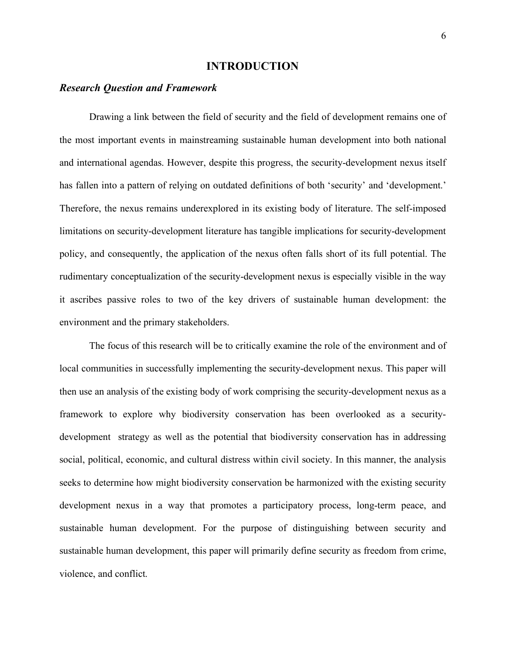### **INTRODUCTION**

# <span id="page-6-1"></span><span id="page-6-0"></span>*Research Question and Framework*

Drawing a link between the field of security and the field of development remains one of the most important events in mainstreaming sustainable human development into both national and international agendas. However, despite this progress, the security-development nexus itself has fallen into a pattern of relying on outdated definitions of both 'security' and 'development.' Therefore, the nexus remains underexplored in its existing body of literature. The self-imposed limitations on security-development literature has tangible implications for security-development policy, and consequently, the application of the nexus often falls short of its full potential. The rudimentary conceptualization of the security-development nexus is especially visible in the way it ascribes passive roles to two of the key drivers of sustainable human development: the environment and the primary stakeholders.

<span id="page-6-2"></span>The focus of this research will be to critically examine the role of the environment and of local communities in successfully implementing the security-development nexus. This paper will then use an analysis of the existing body of work comprising the security-development nexus as a framework to explore why biodiversity conservation has been overlooked as a securitydevelopment strategy as well as the potential that biodiversity conservation has in addressing social, political, economic, and cultural distress within civil society. In this manner, the analysis seeks to determine how might biodiversity conservation be harmonized with the existing security development nexus in a way that promotes a participatory process, long-term peace, and sustainable human development. For the purpose of distinguishing between security and sustainable human development, this paper will primarily define security as freedom from crime, violence, and conflict.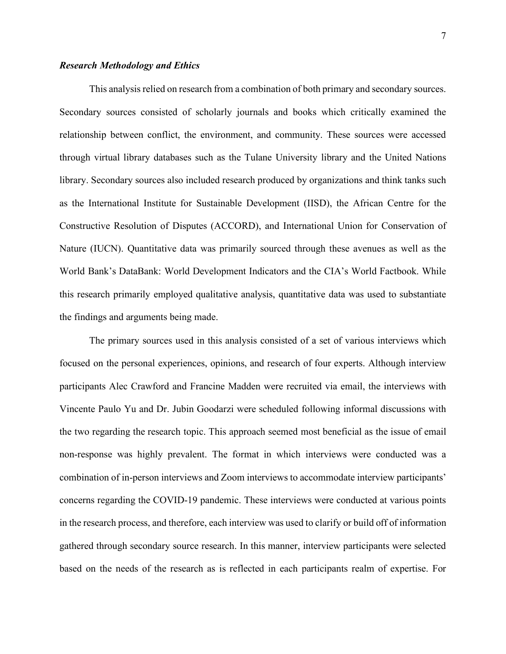#### *Research Methodology and Ethics*

This analysis relied on research from a combination of both primary and secondary sources. Secondary sources consisted of scholarly journals and books which critically examined the relationship between conflict, the environment, and community. These sources were accessed through virtual library databases such as the Tulane University library and the United Nations library. Secondary sources also included research produced by organizations and think tanks such as the International Institute for Sustainable Development (IISD), the African Centre for the Constructive Resolution of Disputes (ACCORD), and International Union for Conservation of Nature (IUCN). Quantitative data was primarily sourced through these avenues as well as the World Bank's DataBank: World Development Indicators and the CIA's World Factbook. While this research primarily employed qualitative analysis, quantitative data was used to substantiate the findings and arguments being made.

The primary sources used in this analysis consisted of a set of various interviews which focused on the personal experiences, opinions, and research of four experts. Although interview participants Alec Crawford and Francine Madden were recruited via email, the interviews with Vincente Paulo Yu and Dr. Jubin Goodarzi were scheduled following informal discussions with the two regarding the research topic. This approach seemed most beneficial as the issue of email non-response was highly prevalent. The format in which interviews were conducted was a combination of in-person interviews and Zoom interviews to accommodate interview participants' concerns regarding the COVID-19 pandemic. These interviews were conducted at various points in the research process, and therefore, each interview was used to clarify or build off of information gathered through secondary source research. In this manner, interview participants were selected based on the needs of the research as is reflected in each participants realm of expertise. For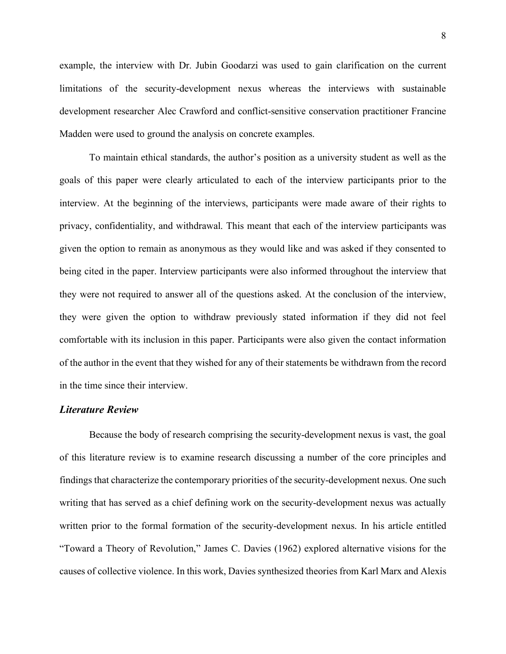example, the interview with Dr. Jubin Goodarzi was used to gain clarification on the current limitations of the security-development nexus whereas the interviews with sustainable development researcher Alec Crawford and conflict-sensitive conservation practitioner Francine Madden were used to ground the analysis on concrete examples.

To maintain ethical standards, the author's position as a university student as well as the goals of this paper were clearly articulated to each of the interview participants prior to the interview. At the beginning of the interviews, participants were made aware of their rights to privacy, confidentiality, and withdrawal. This meant that each of the interview participants was given the option to remain as anonymous as they would like and was asked if they consented to being cited in the paper. Interview participants were also informed throughout the interview that they were not required to answer all of the questions asked. At the conclusion of the interview, they were given the option to withdraw previously stated information if they did not feel comfortable with its inclusion in this paper. Participants were also given the contact information of the author in the event that they wished for any of their statements be withdrawn from the record in the time since their interview.

# <span id="page-8-0"></span>*Literature Review*

Because the body of research comprising the security-development nexus is vast, the goal of this literature review is to examine research discussing a number of the core principles and findings that characterize the contemporary priorities of the security-development nexus. One such writing that has served as a chief defining work on the security-development nexus was actually written prior to the formal formation of the security-development nexus. In his article entitled "Toward a Theory of Revolution," James C. Davies (1962) explored alternative visions for the causes of collective violence. In this work, Davies synthesized theories from Karl Marx and Alexis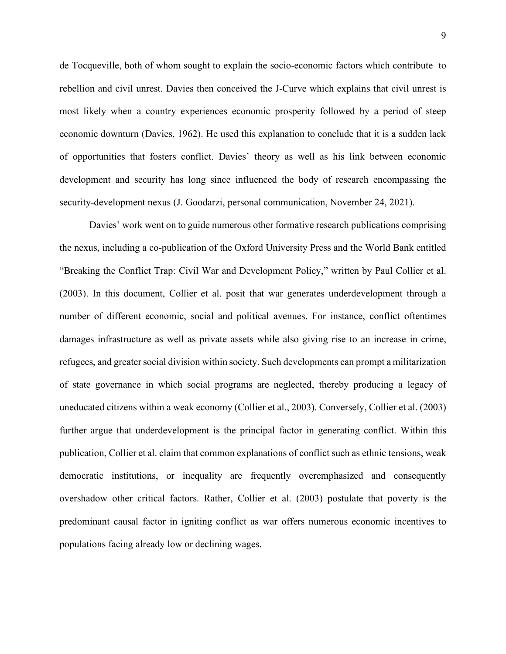de Tocqueville, both of whom sought to explain the socio-economic factors which contribute to rebellion and civil unrest. Davies then conceived the J-Curve which explains that civil unrest is most likely when a country experiences economic prosperity followed by a period of steep economic downturn (Davies, 1962). He used this explanation to conclude that it is a sudden lack of opportunities that fosters conflict. Davies' theory as well as his link between economic development and security has long since influenced the body of research encompassing the security-development nexus (J. Goodarzi, personal communication, November 24, 2021).

Davies' work went on to guide numerous other formative research publications comprising the nexus, including a co-publication of the Oxford University Press and the World Bank entitled "Breaking the Conflict Trap: Civil War and Development Policy," written by Paul Collier et al. (2003). In this document, Collier et al. posit that war generates underdevelopment through a number of different economic, social and political avenues. For instance, conflict oftentimes damages infrastructure as well as private assets while also giving rise to an increase in crime, refugees, and greater social division within society. Such developments can prompt a militarization of state governance in which social programs are neglected, thereby producing a legacy of uneducated citizens within a weak economy (Collier et al., 2003). Conversely, Collier et al. (2003) further argue that underdevelopment is the principal factor in generating conflict. Within this publication, Collier et al. claim that common explanations of conflict such as ethnic tensions, weak democratic institutions, or inequality are frequently overemphasized and consequently overshadow other critical factors. Rather, Collier et al. (2003) postulate that poverty is the predominant causal factor in igniting conflict as war offers numerous economic incentives to populations facing already low or declining wages.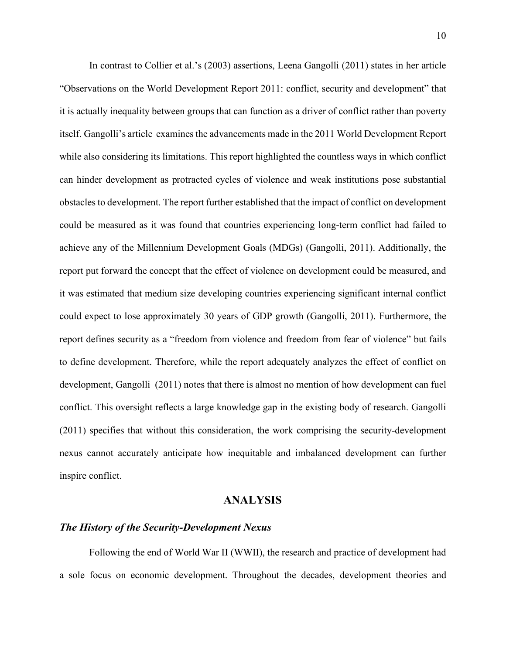In contrast to Collier et al.'s (2003) assertions, Leena Gangolli (2011) states in her article "Observations on the World Development Report 2011: conflict, security and development" that it is actually inequality between groups that can function as a driver of conflict rather than poverty itself. Gangolli's article examines the advancements made in the 2011 World Development Report while also considering its limitations. This report highlighted the countless ways in which conflict can hinder development as protracted cycles of violence and weak institutions pose substantial obstacles to development. The report further established that the impact of conflict on development could be measured as it was found that countries experiencing long-term conflict had failed to achieve any of the Millennium Development Goals (MDGs) (Gangolli, 2011). Additionally, the report put forward the concept that the effect of violence on development could be measured, and it was estimated that medium size developing countries experiencing significant internal conflict could expect to lose approximately 30 years of GDP growth (Gangolli, 2011). Furthermore, the report defines security as a "freedom from violence and freedom from fear of violence" but fails to define development. Therefore, while the report adequately analyzes the effect of conflict on development, Gangolli (2011) notes that there is almost no mention of how development can fuel conflict. This oversight reflects a large knowledge gap in the existing body of research. Gangolli (2011) specifies that without this consideration, the work comprising the security-development nexus cannot accurately anticipate how inequitable and imbalanced development can further inspire conflict.

# **ANALYSIS**

# <span id="page-10-1"></span><span id="page-10-0"></span>*The History of the Security-Development Nexus*

Following the end of World War II (WWII), the research and practice of development had a sole focus on economic development. Throughout the decades, development theories and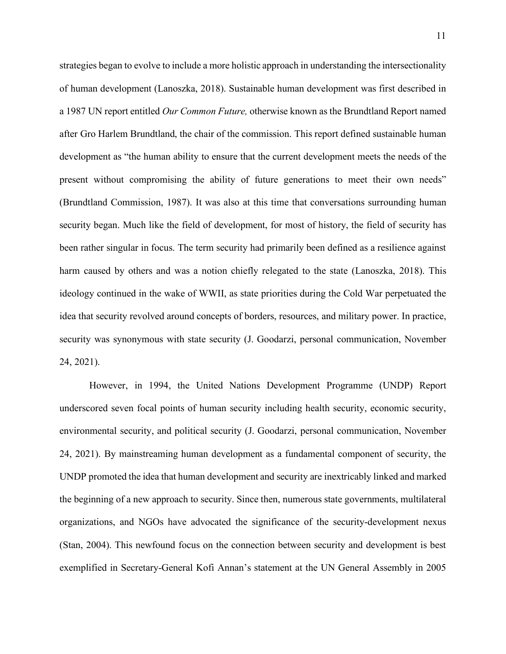strategies began to evolve to include a more holistic approach in understanding the intersectionality of human development (Lanoszka, 2018). Sustainable human development was first described in a 1987 UN report entitled *Our Common Future,* otherwise known as the Brundtland Report named after Gro Harlem Brundtland, the chair of the commission. This report defined sustainable human development as "the human ability to ensure that the current development meets the needs of the present without compromising the ability of future generations to meet their own needs" (Brundtland Commission, 1987). It was also at this time that conversations surrounding human security began. Much like the field of development, for most of history, the field of security has been rather singular in focus. The term security had primarily been defined as a resilience against harm caused by others and was a notion chiefly relegated to the state (Lanoszka, 2018). This ideology continued in the wake of WWII, as state priorities during the Cold War perpetuated the idea that security revolved around concepts of borders, resources, and military power. In practice, security was synonymous with state security (J. Goodarzi, personal communication, November 24, 2021).

However, in 1994, the United Nations Development Programme (UNDP) Report underscored seven focal points of human security including health security, economic security, environmental security, and political security (J. Goodarzi, personal communication, November 24, 2021). By mainstreaming human development as a fundamental component of security, the UNDP promoted the idea that human development and security are inextricably linked and marked the beginning of a new approach to security. Since then, numerous state governments, multilateral organizations, and NGOs have advocated the significance of the security-development nexus (Stan, 2004). This newfound focus on the connection between security and development is best exemplified in Secretary-General Kofi Annan's statement at the UN General Assembly in 2005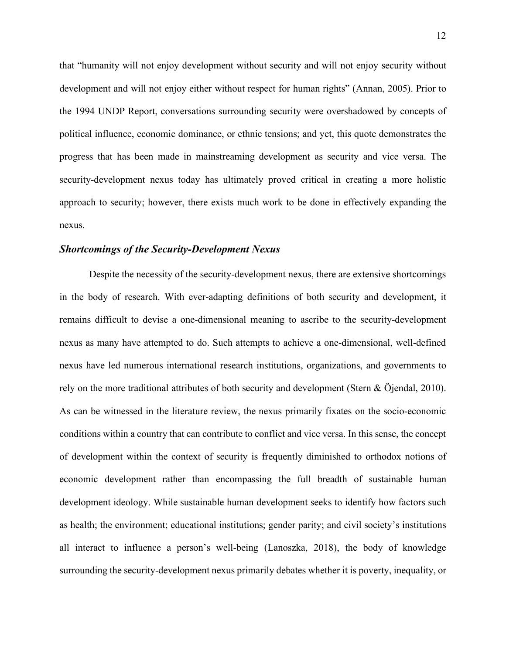that "humanity will not enjoy development without security and will not enjoy security without development and will not enjoy either without respect for human rights" (Annan, 2005). Prior to the 1994 UNDP Report, conversations surrounding security were overshadowed by concepts of political influence, economic dominance, or ethnic tensions; and yet, this quote demonstrates the progress that has been made in mainstreaming development as security and vice versa. The security-development nexus today has ultimately proved critical in creating a more holistic approach to security; however, there exists much work to be done in effectively expanding the nexus.

#### <span id="page-12-0"></span>*Shortcomings of the Security-Development Nexus*

Despite the necessity of the security-development nexus, there are extensive shortcomings in the body of research. With ever-adapting definitions of both security and development, it remains difficult to devise a one-dimensional meaning to ascribe to the security-development nexus as many have attempted to do. Such attempts to achieve a one-dimensional, well-defined nexus have led numerous international research institutions, organizations, and governments to rely on the more traditional attributes of both security and development (Stern & Öjendal, 2010). As can be witnessed in the literature review, the nexus primarily fixates on the socio-economic conditions within a country that can contribute to conflict and vice versa. In this sense, the concept of development within the context of security is frequently diminished to orthodox notions of economic development rather than encompassing the full breadth of sustainable human development ideology. While sustainable human development seeks to identify how factors such as health; the environment; educational institutions; gender parity; and civil society's institutions all interact to influence a person's well-being (Lanoszka, 2018), the body of knowledge surrounding the security-development nexus primarily debates whether it is poverty, inequality, or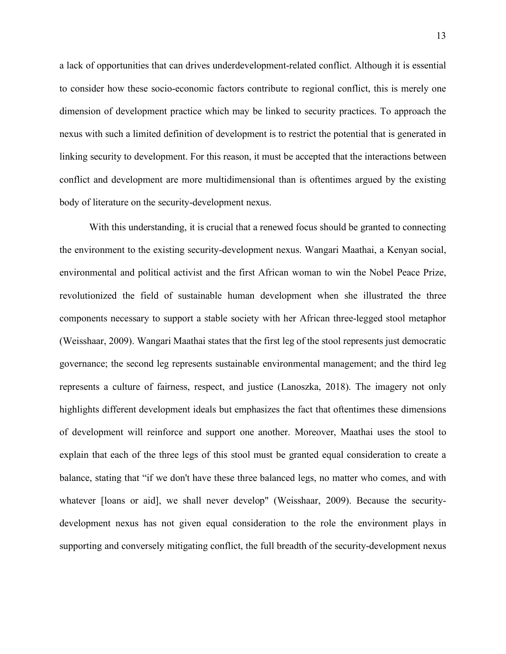a lack of opportunities that can drives underdevelopment-related conflict. Although it is essential to consider how these socio-economic factors contribute to regional conflict, this is merely one dimension of development practice which may be linked to security practices. To approach the nexus with such a limited definition of development is to restrict the potential that is generated in linking security to development. For this reason, it must be accepted that the interactions between conflict and development are more multidimensional than is oftentimes argued by the existing body of literature on the security-development nexus.

With this understanding, it is crucial that a renewed focus should be granted to connecting the environment to the existing security-development nexus. Wangari Maathai, a Kenyan social, environmental and political activist and the first African woman to win the Nobel Peace Prize, revolutionized the field of sustainable human development when she illustrated the three components necessary to support a stable society with her African three-legged stool metaphor (Weisshaar, 2009). Wangari Maathai states that the first leg of the stool represents just democratic governance; the second leg represents sustainable environmental management; and the third leg represents a culture of fairness, respect, and justice (Lanoszka, 2018). The imagery not only highlights different development ideals but emphasizes the fact that oftentimes these dimensions of development will reinforce and support one another. Moreover, Maathai uses the stool to explain that each of the three legs of this stool must be granted equal consideration to create a balance, stating that "if we don't have these three balanced legs, no matter who comes, and with whatever [loans or aid], we shall never develop" (Weisshaar, 2009). Because the securitydevelopment nexus has not given equal consideration to the role the environment plays in supporting and conversely mitigating conflict, the full breadth of the security-development nexus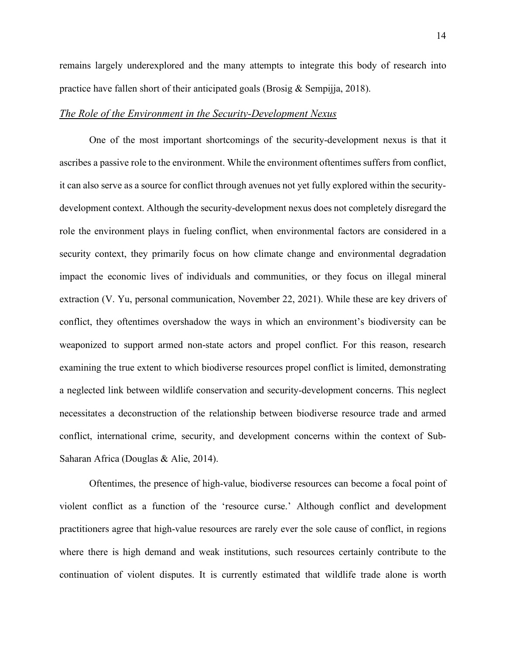remains largely underexplored and the many attempts to integrate this body of research into practice have fallen short of their anticipated goals (Brosig & Sempijja, 2018).

# <span id="page-14-0"></span>*The Role of the Environment in the Security-Development Nexus*

One of the most important shortcomings of the security-development nexus is that it ascribes a passive role to the environment. While the environment oftentimes suffers from conflict, it can also serve as a source for conflict through avenues not yet fully explored within the securitydevelopment context. Although the security-development nexus does not completely disregard the role the environment plays in fueling conflict, when environmental factors are considered in a security context, they primarily focus on how climate change and environmental degradation impact the economic lives of individuals and communities, or they focus on illegal mineral extraction (V. Yu, personal communication, November 22, 2021). While these are key drivers of conflict, they oftentimes overshadow the ways in which an environment's biodiversity can be weaponized to support armed non-state actors and propel conflict. For this reason, research examining the true extent to which biodiverse resources propel conflict is limited, demonstrating a neglected link between wildlife conservation and security-development concerns. This neglect necessitates a deconstruction of the relationship between biodiverse resource trade and armed conflict, international crime, security, and development concerns within the context of Sub-Saharan Africa (Douglas & Alie, 2014).

Oftentimes, the presence of high-value, biodiverse resources can become a focal point of violent conflict as a function of the 'resource curse.' Although conflict and development practitioners agree that high-value resources are rarely ever the sole cause of conflict, in regions where there is high demand and weak institutions, such resources certainly contribute to the continuation of violent disputes. It is currently estimated that wildlife trade alone is worth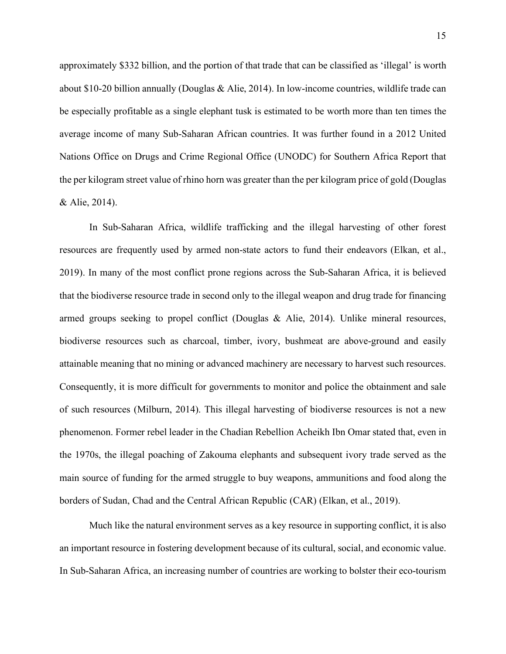approximately \$332 billion, and the portion of that trade that can be classified as 'illegal' is worth about \$10-20 billion annually (Douglas & Alie, 2014). In low-income countries, wildlife trade can be especially profitable as a single elephant tusk is estimated to be worth more than ten times the average income of many Sub-Saharan African countries. It was further found in a 2012 United Nations Office on Drugs and Crime Regional Office (UNODC) for Southern Africa Report that the per kilogram street value of rhino horn was greater than the per kilogram price of gold (Douglas & Alie, 2014).

In Sub-Saharan Africa, wildlife trafficking and the illegal harvesting of other forest resources are frequently used by armed non-state actors to fund their endeavors (Elkan, et al., 2019). In many of the most conflict prone regions across the Sub-Saharan Africa, it is believed that the biodiverse resource trade in second only to the illegal weapon and drug trade for financing armed groups seeking to propel conflict (Douglas & Alie, 2014). Unlike mineral resources, biodiverse resources such as charcoal, timber, ivory, bushmeat are above-ground and easily attainable meaning that no mining or advanced machinery are necessary to harvest such resources. Consequently, it is more difficult for governments to monitor and police the obtainment and sale of such resources (Milburn, 2014). This illegal harvesting of biodiverse resources is not a new phenomenon. Former rebel leader in the Chadian Rebellion Acheikh Ibn Omar stated that, even in the 1970s, the illegal poaching of Zakouma elephants and subsequent ivory trade served as the main source of funding for the armed struggle to buy weapons, ammunitions and food along the borders of Sudan, Chad and the Central African Republic (CAR) (Elkan, et al., 2019).

Much like the natural environment serves as a key resource in supporting conflict, it is also an important resource in fostering development because of its cultural, social, and economic value. In Sub-Saharan Africa, an increasing number of countries are working to bolster their eco-tourism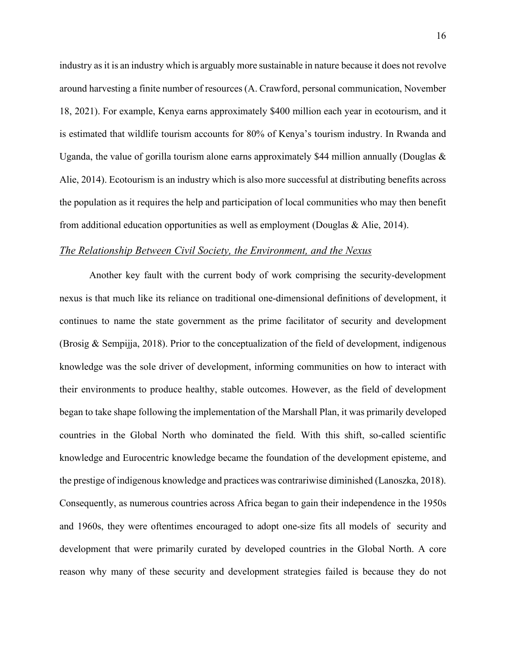industry as it is an industry which is arguably more sustainable in nature because it does not revolve around harvesting a finite number of resources (A. Crawford, personal communication, November 18, 2021). For example, Kenya earns approximately \$400 million each year in ecotourism, and it is estimated that wildlife tourism accounts for 80% of Kenya's tourism industry. In Rwanda and Uganda, the value of gorilla tourism alone earns approximately \$44 million annually (Douglas  $\&$ Alie, 2014). Ecotourism is an industry which is also more successful at distributing benefits across the population as it requires the help and participation of local communities who may then benefit from additional education opportunities as well as employment (Douglas & Alie, 2014).

# <span id="page-16-0"></span>*The Relationship Between Civil Society, the Environment, and the Nexus*

Another key fault with the current body of work comprising the security-development nexus is that much like its reliance on traditional one-dimensional definitions of development, it continues to name the state government as the prime facilitator of security and development (Brosig & Sempijia, 2018). Prior to the conceptualization of the field of development, indigenous knowledge was the sole driver of development, informing communities on how to interact with their environments to produce healthy, stable outcomes. However, as the field of development began to take shape following the implementation of the Marshall Plan, it was primarily developed countries in the Global North who dominated the field. With this shift, so-called scientific knowledge and Eurocentric knowledge became the foundation of the development episteme, and the prestige of indigenous knowledge and practices was contrariwise diminished (Lanoszka, 2018). Consequently, as numerous countries across Africa began to gain their independence in the 1950s and 1960s, they were oftentimes encouraged to adopt one-size fits all models of security and development that were primarily curated by developed countries in the Global North. A core reason why many of these security and development strategies failed is because they do not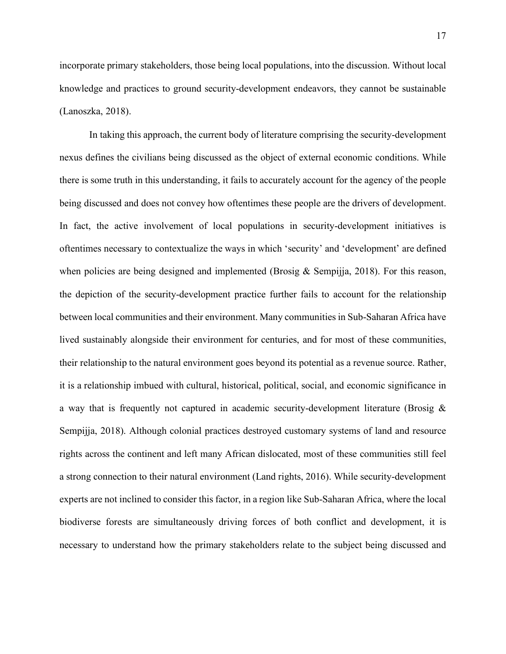incorporate primary stakeholders, those being local populations, into the discussion. Without local knowledge and practices to ground security-development endeavors, they cannot be sustainable (Lanoszka, 2018).

In taking this approach, the current body of literature comprising the security-development nexus defines the civilians being discussed as the object of external economic conditions. While there is some truth in this understanding, it fails to accurately account for the agency of the people being discussed and does not convey how oftentimes these people are the drivers of development. In fact, the active involvement of local populations in security-development initiatives is oftentimes necessary to contextualize the ways in which 'security' and 'development' are defined when policies are being designed and implemented (Brosig & Sempijia, 2018). For this reason, the depiction of the security-development practice further fails to account for the relationship between local communities and their environment. Many communities in Sub-Saharan Africa have lived sustainably alongside their environment for centuries, and for most of these communities, their relationship to the natural environment goes beyond its potential as a revenue source. Rather, it is a relationship imbued with cultural, historical, political, social, and economic significance in a way that is frequently not captured in academic security-development literature (Brosig & Sempijja, 2018). Although colonial practices destroyed customary systems of land and resource rights across the continent and left many African dislocated, most of these communities still feel a strong connection to their natural environment (Land rights, 2016). While security-development experts are not inclined to consider this factor, in a region like Sub-Saharan Africa, where the local biodiverse forests are simultaneously driving forces of both conflict and development, it is necessary to understand how the primary stakeholders relate to the subject being discussed and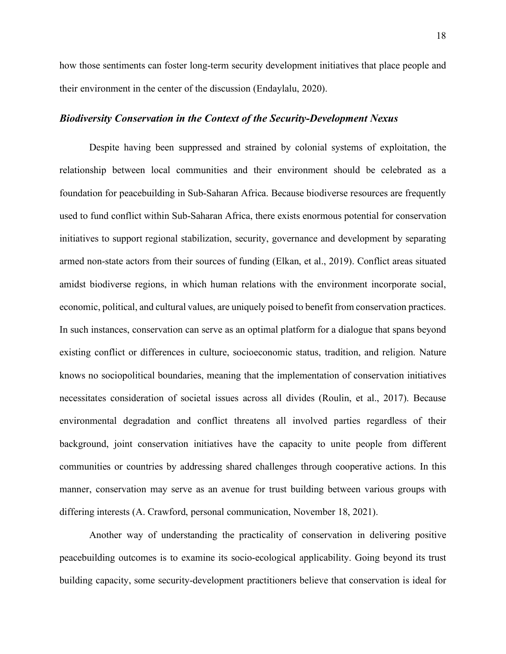how those sentiments can foster long-term security development initiatives that place people and their environment in the center of the discussion (Endaylalu, 2020).

# <span id="page-18-0"></span>*Biodiversity Conservation in the Context of the Security-Development Nexus*

Despite having been suppressed and strained by colonial systems of exploitation, the relationship between local communities and their environment should be celebrated as a foundation for peacebuilding in Sub-Saharan Africa. Because biodiverse resources are frequently used to fund conflict within Sub-Saharan Africa, there exists enormous potential for conservation initiatives to support regional stabilization, security, governance and development by separating armed non-state actors from their sources of funding (Elkan, et al., 2019). Conflict areas situated amidst biodiverse regions, in which human relations with the environment incorporate social, economic, political, and cultural values, are uniquely poised to benefit from conservation practices. In such instances, conservation can serve as an optimal platform for a dialogue that spans beyond existing conflict or differences in culture, socioeconomic status, tradition, and religion. Nature knows no sociopolitical boundaries, meaning that the implementation of conservation initiatives necessitates consideration of societal issues across all divides (Roulin, et al., 2017). Because environmental degradation and conflict threatens all involved parties regardless of their background, joint conservation initiatives have the capacity to unite people from different communities or countries by addressing shared challenges through cooperative actions. In this manner, conservation may serve as an avenue for trust building between various groups with differing interests (A. Crawford, personal communication, November 18, 2021).

Another way of understanding the practicality of conservation in delivering positive peacebuilding outcomes is to examine its socio-ecological applicability. Going beyond its trust building capacity, some security-development practitioners believe that conservation is ideal for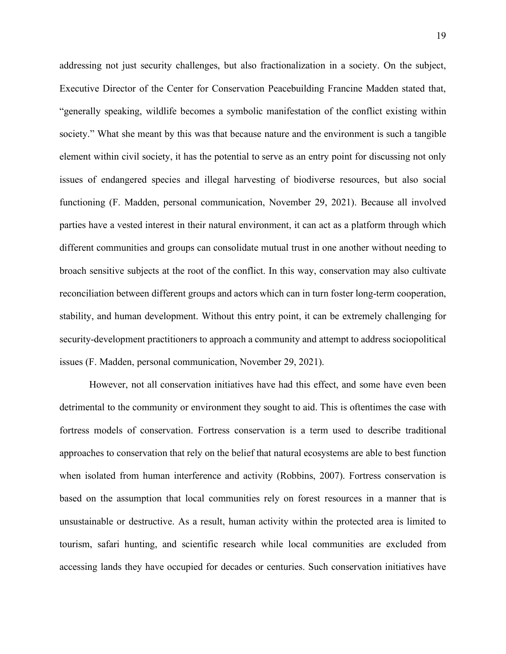addressing not just security challenges, but also fractionalization in a society. On the subject, Executive Director of the Center for Conservation Peacebuilding Francine Madden stated that, "generally speaking, wildlife becomes a symbolic manifestation of the conflict existing within society." What she meant by this was that because nature and the environment is such a tangible element within civil society, it has the potential to serve as an entry point for discussing not only issues of endangered species and illegal harvesting of biodiverse resources, but also social functioning (F. Madden, personal communication, November 29, 2021). Because all involved parties have a vested interest in their natural environment, it can act as a platform through which different communities and groups can consolidate mutual trust in one another without needing to broach sensitive subjects at the root of the conflict. In this way, conservation may also cultivate reconciliation between different groups and actors which can in turn foster long-term cooperation, stability, and human development. Without this entry point, it can be extremely challenging for security-development practitioners to approach a community and attempt to address sociopolitical issues (F. Madden, personal communication, November 29, 2021).

However, not all conservation initiatives have had this effect, and some have even been detrimental to the community or environment they sought to aid. This is oftentimes the case with fortress models of conservation. Fortress conservation is a term used to describe traditional approaches to conservation that rely on the belief that natural ecosystems are able to best function when isolated from human interference and activity (Robbins, 2007). Fortress conservation is based on the assumption that local communities rely on forest resources in a manner that is unsustainable or destructive. As a result, human activity within the protected area is limited to tourism, safari hunting, and scientific research while local communities are excluded from accessing lands they have occupied for decades or centuries. Such conservation initiatives have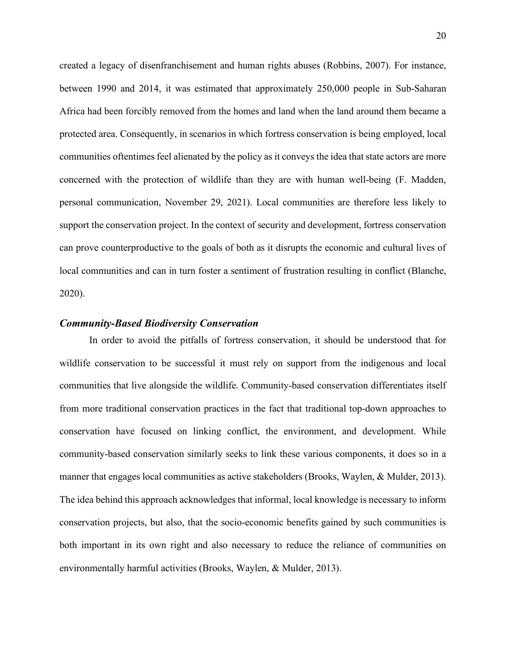created a legacy of disenfranchisement and human rights abuses (Robbins, 2007). For instance, between 1990 and 2014, it was estimated that approximately 250,000 people in Sub-Saharan Africa had been forcibly removed from the homes and land when the land around them became a protected area. Consequently, in scenarios in which fortress conservation is being employed, local communities oftentimes feel alienated by the policy as it conveys the idea that state actors are more concerned with the protection of wildlife than they are with human well-being (F. Madden, personal communication, November 29, 2021). Local communities are therefore less likely to support the conservation project. In the context of security and development, fortress conservation can prove counterproductive to the goals of both as it disrupts the economic and cultural lives of local communities and can in turn foster a sentiment of frustration resulting in conflict (Blanche, 2020).

### <span id="page-20-0"></span>*Community-Based Biodiversity Conservation*

In order to avoid the pitfalls of fortress conservation, it should be understood that for wildlife conservation to be successful it must rely on support from the indigenous and local communities that live alongside the wildlife. Community-based conservation differentiates itself from more traditional conservation practices in the fact that traditional top-down approaches to conservation have focused on linking conflict, the environment, and development. While community-based conservation similarly seeks to link these various components, it does so in a manner that engages local communities as active stakeholders (Brooks, Waylen, & Mulder, 2013). The idea behind this approach acknowledges that informal, local knowledge is necessary to inform conservation projects, but also, that the socio-economic benefits gained by such communities is both important in its own right and also necessary to reduce the reliance of communities on environmentally harmful activities (Brooks, Waylen, & Mulder, 2013).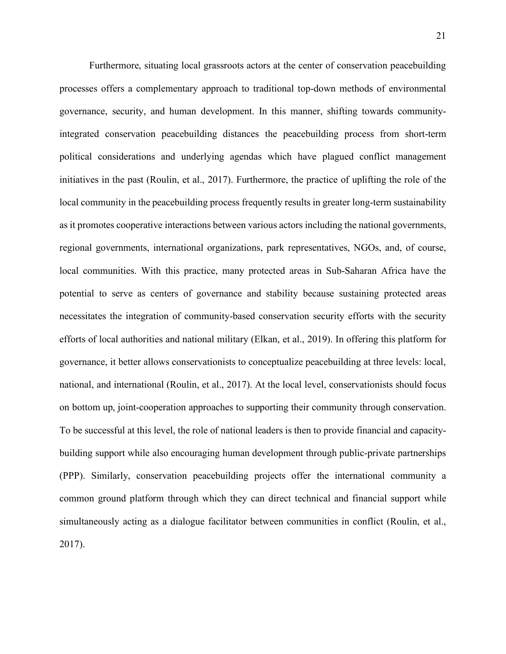Furthermore, situating local grassroots actors at the center of conservation peacebuilding processes offers a complementary approach to traditional top-down methods of environmental governance, security, and human development. In this manner, shifting towards communityintegrated conservation peacebuilding distances the peacebuilding process from short-term political considerations and underlying agendas which have plagued conflict management initiatives in the past (Roulin, et al., 2017). Furthermore, the practice of uplifting the role of the local community in the peacebuilding process frequently results in greater long-term sustainability as it promotes cooperative interactions between various actors including the national governments, regional governments, international organizations, park representatives, NGOs, and, of course, local communities. With this practice, many protected areas in Sub-Saharan Africa have the potential to serve as centers of governance and stability because sustaining protected areas necessitates the integration of community-based conservation security efforts with the security efforts of local authorities and national military (Elkan, et al., 2019). In offering this platform for governance, it better allows conservationists to conceptualize peacebuilding at three levels: local, national, and international (Roulin, et al., 2017). At the local level, conservationists should focus on bottom up, joint-cooperation approaches to supporting their community through conservation. To be successful at this level, the role of national leaders is then to provide financial and capacitybuilding support while also encouraging human development through public-private partnerships (PPP). Similarly, conservation peacebuilding projects offer the international community a common ground platform through which they can direct technical and financial support while simultaneously acting as a dialogue facilitator between communities in conflict (Roulin, et al., 2017).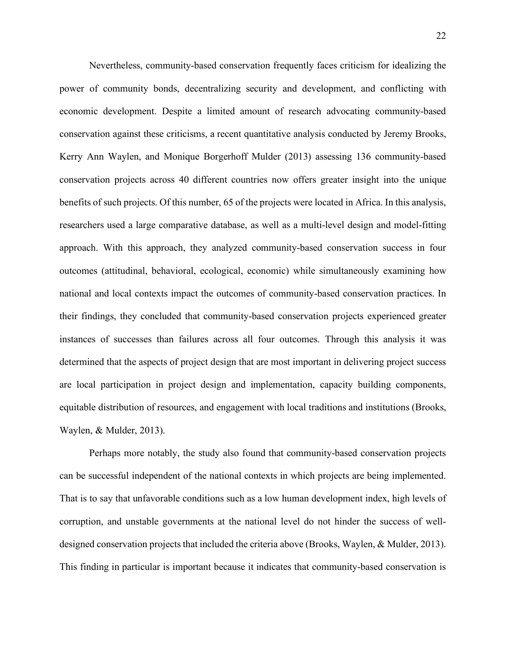Nevertheless, community-based conservation frequently faces criticism for idealizing the power of community bonds, decentralizing security and development, and conflicting with economic development. Despite a limited amount of research advocating community-based conservation against these criticisms, a recent quantitative analysis conducted by Jeremy Brooks, Kerry Ann Waylen, and Monique Borgerhoff Mulder (2013) assessing 136 community-based conservation projects across 40 different countries now offers greater insight into the unique benefits of such projects. Of this number, 65 of the projects were located in Africa. In this analysis, researchers used a large comparative database, as well as a multi-level design and model-fitting approach. With this approach, they analyzed community-based conservation success in four outcomes (attitudinal, behavioral, ecological, economic) while simultaneously examining how national and local contexts impact the outcomes of community-based conservation practices. In their findings, they concluded that community-based conservation projects experienced greater instances of successes than failures across all four outcomes. Through this analysis it was determined that the aspects of project design that are most important in delivering project success are local participation in project design and implementation, capacity building components, equitable distribution of resources, and engagement with local traditions and institutions (Brooks, Waylen, & Mulder, 2013).

Perhaps more notably, the study also found that community-based conservation projects can be successful independent of the national contexts in which projects are being implemented. That is to say that unfavorable conditions such as a low human development index, high levels of corruption, and unstable governments at the national level do not hinder the success of welldesigned conservation projects that included the criteria above (Brooks, Waylen, & Mulder, 2013). This finding in particular is important because it indicates that community-based conservation is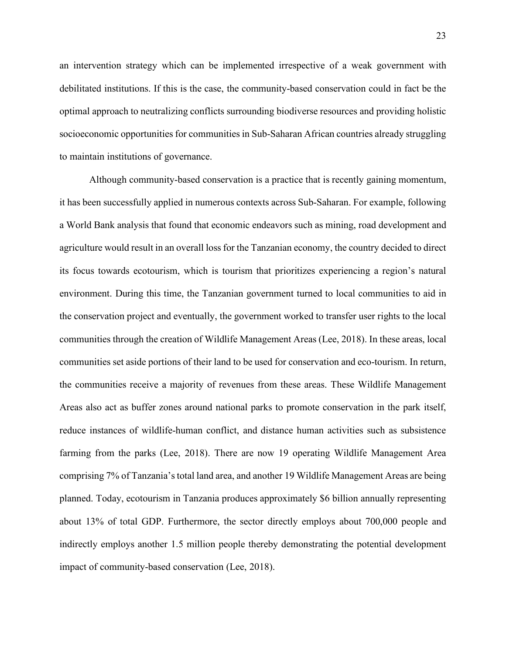an intervention strategy which can be implemented irrespective of a weak government with debilitated institutions. If this is the case, the community-based conservation could in fact be the optimal approach to neutralizing conflicts surrounding biodiverse resources and providing holistic socioeconomic opportunities for communities in Sub-Saharan African countries already struggling to maintain institutions of governance.

Although community-based conservation is a practice that is recently gaining momentum, it has been successfully applied in numerous contexts across Sub-Saharan. For example, following a World Bank analysis that found that economic endeavors such as mining, road development and agriculture would result in an overall loss for the Tanzanian economy, the country decided to direct its focus towards ecotourism, which is tourism that prioritizes experiencing a region's natural environment. During this time, the Tanzanian government turned to local communities to aid in the conservation project and eventually, the government worked to transfer user rights to the local communities through the creation of Wildlife Management Areas (Lee, 2018). In these areas, local communities set aside portions of their land to be used for conservation and eco-tourism. In return, the communities receive a majority of revenues from these areas. These Wildlife Management Areas also act as buffer zones around national parks to promote conservation in the park itself, reduce instances of wildlife-human conflict, and distance human activities such as subsistence farming from the parks (Lee, 2018). There are now 19 operating Wildlife Management Area comprising 7% of Tanzania's total land area, and another 19 Wildlife Management Areas are being planned. Today, ecotourism in Tanzania produces approximately \$6 billion annually representing about 13% of total GDP. Furthermore, the sector directly employs about 700,000 people and indirectly employs another 1.5 million people thereby demonstrating the potential development impact of community-based conservation (Lee, 2018).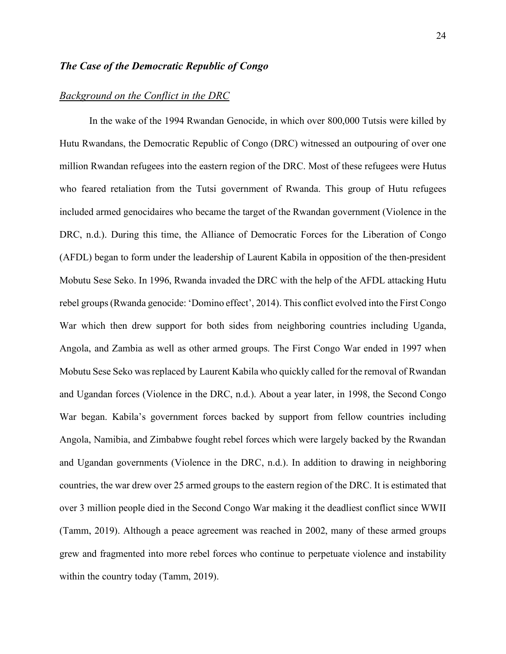# <span id="page-24-0"></span>*The Case of the Democratic Republic of Congo*

# <span id="page-24-1"></span>*Background on the Conflict in the DRC*

In the wake of the 1994 Rwandan Genocide, in which over 800,000 Tutsis were killed by Hutu Rwandans, the Democratic Republic of Congo (DRC) witnessed an outpouring of over one million Rwandan refugees into the eastern region of the DRC. Most of these refugees were Hutus who feared retaliation from the Tutsi government of Rwanda. This group of Hutu refugees included armed genocidaires who became the target of the Rwandan government (Violence in the DRC, n.d.). During this time, the Alliance of Democratic Forces for the Liberation of Congo (AFDL) began to form under the leadership of Laurent Kabila in opposition of the then-president Mobutu Sese Seko. In 1996, Rwanda invaded the DRC with the help of the AFDL attacking Hutu rebel groups (Rwanda genocide: 'Domino effect', 2014). This conflict evolved into the First Congo War which then drew support for both sides from neighboring countries including Uganda, Angola, and Zambia as well as other armed groups. The First Congo War ended in 1997 when Mobutu Sese Seko was replaced by Laurent Kabila who quickly called for the removal of Rwandan and Ugandan forces (Violence in the DRC, n.d.). About a year later, in 1998, the Second Congo War began. Kabila's government forces backed by support from fellow countries including Angola, Namibia, and Zimbabwe fought rebel forces which were largely backed by the Rwandan and Ugandan governments (Violence in the DRC, n.d.). In addition to drawing in neighboring countries, the war drew over 25 armed groups to the eastern region of the DRC. It is estimated that over 3 million people died in the Second Congo War making it the deadliest conflict since WWII (Tamm, 2019). Although a peace agreement was reached in 2002, many of these armed groups grew and fragmented into more rebel forces who continue to perpetuate violence and instability within the country today (Tamm, 2019).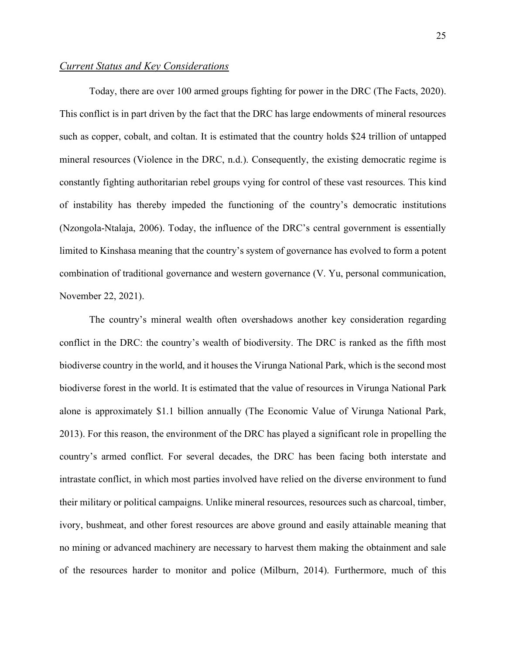# <span id="page-25-0"></span>*Current Status and Key Considerations*

Today, there are over 100 armed groups fighting for power in the DRC (The Facts, 2020). This conflict is in part driven by the fact that the DRC has large endowments of mineral resources such as copper, cobalt, and coltan. It is estimated that the country holds \$24 trillion of untapped mineral resources (Violence in the DRC, n.d.). Consequently, the existing democratic regime is constantly fighting authoritarian rebel groups vying for control of these vast resources. This kind of instability has thereby impeded the functioning of the country's democratic institutions (Nzongola-Ntalaja, 2006). Today, the influence of the DRC's central government is essentially limited to Kinshasa meaning that the country's system of governance has evolved to form a potent combination of traditional governance and western governance (V. Yu, personal communication, November 22, 2021).

The country's mineral wealth often overshadows another key consideration regarding conflict in the DRC: the country's wealth of biodiversity. The DRC is ranked as the fifth most biodiverse country in the world, and it houses the Virunga National Park, which is the second most biodiverse forest in the world. It is estimated that the value of resources in Virunga National Park alone is approximately \$1.1 billion annually (The Economic Value of Virunga National Park, 2013). For this reason, the environment of the DRC has played a significant role in propelling the country's armed conflict. For several decades, the DRC has been facing both interstate and intrastate conflict, in which most parties involved have relied on the diverse environment to fund their military or political campaigns. Unlike mineral resources, resources such as charcoal, timber, ivory, bushmeat, and other forest resources are above ground and easily attainable meaning that no mining or advanced machinery are necessary to harvest them making the obtainment and sale of the resources harder to monitor and police (Milburn, 2014). Furthermore, much of this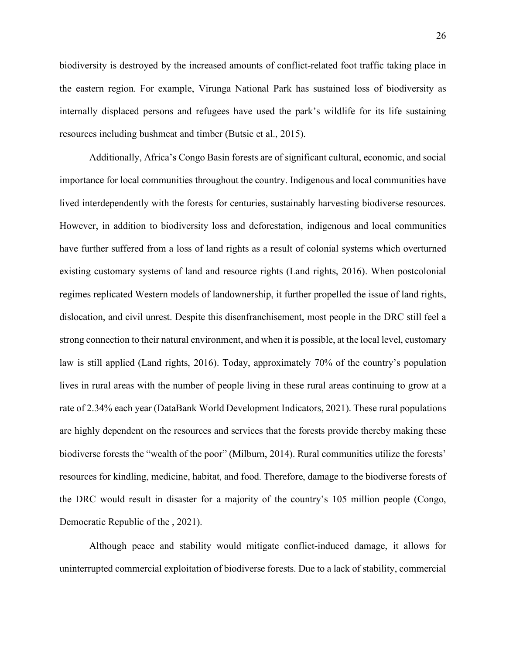biodiversity is destroyed by the increased amounts of conflict-related foot traffic taking place in the eastern region. For example, Virunga National Park has sustained loss of biodiversity as internally displaced persons and refugees have used the park's wildlife for its life sustaining resources including bushmeat and timber (Butsic et al., 2015).

Additionally, Africa's Congo Basin forests are of significant cultural, economic, and social importance for local communities throughout the country. Indigenous and local communities have lived interdependently with the forests for centuries, sustainably harvesting biodiverse resources. However, in addition to biodiversity loss and deforestation, indigenous and local communities have further suffered from a loss of land rights as a result of colonial systems which overturned existing customary systems of land and resource rights (Land rights, 2016). When postcolonial regimes replicated Western models of landownership, it further propelled the issue of land rights, dislocation, and civil unrest. Despite this disenfranchisement, most people in the DRC still feel a strong connection to their natural environment, and when it is possible, at the local level, customary law is still applied (Land rights, 2016). Today, approximately 70% of the country's population lives in rural areas with the number of people living in these rural areas continuing to grow at a rate of 2.34% each year (DataBank World Development Indicators, 2021). These rural populations are highly dependent on the resources and services that the forests provide thereby making these biodiverse forests the "wealth of the poor" (Milburn, 2014). Rural communities utilize the forests' resources for kindling, medicine, habitat, and food. Therefore, damage to the biodiverse forests of the DRC would result in disaster for a majority of the country's 105 million people (Congo, Democratic Republic of the , 2021).

Although peace and stability would mitigate conflict-induced damage, it allows for uninterrupted commercial exploitation of biodiverse forests. Due to a lack of stability, commercial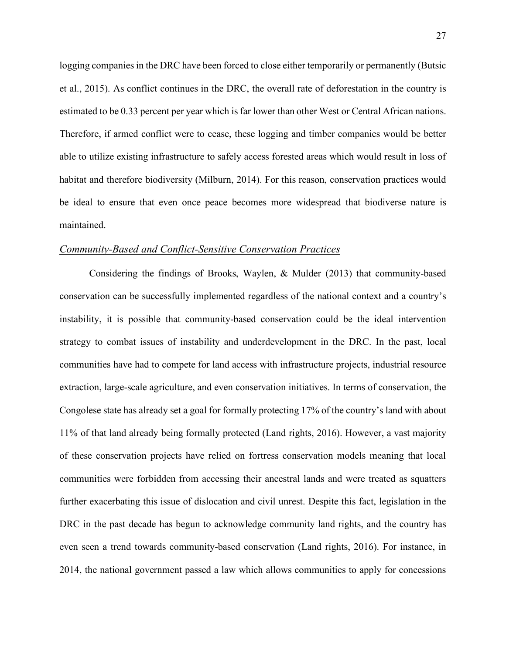logging companies in the DRC have been forced to close either temporarily or permanently (Butsic et al., 2015). As conflict continues in the DRC, the overall rate of deforestation in the country is estimated to be 0.33 percent per year which is far lower than other West or Central African nations. Therefore, if armed conflict were to cease, these logging and timber companies would be better able to utilize existing infrastructure to safely access forested areas which would result in loss of habitat and therefore biodiversity (Milburn, 2014). For this reason, conservation practices would be ideal to ensure that even once peace becomes more widespread that biodiverse nature is maintained.

#### <span id="page-27-0"></span>*Community-Based and Conflict-Sensitive Conservation Practices*

Considering the findings of Brooks, Waylen, & Mulder (2013) that community-based conservation can be successfully implemented regardless of the national context and a country's instability, it is possible that community-based conservation could be the ideal intervention strategy to combat issues of instability and underdevelopment in the DRC. In the past, local communities have had to compete for land access with infrastructure projects, industrial resource extraction, large-scale agriculture, and even conservation initiatives. In terms of conservation, the Congolese state has already set a goal for formally protecting 17% of the country's land with about 11% of that land already being formally protected (Land rights, 2016). However, a vast majority of these conservation projects have relied on fortress conservation models meaning that local communities were forbidden from accessing their ancestral lands and were treated as squatters further exacerbating this issue of dislocation and civil unrest. Despite this fact, legislation in the DRC in the past decade has begun to acknowledge community land rights, and the country has even seen a trend towards community-based conservation (Land rights, 2016). For instance, in 2014, the national government passed a law which allows communities to apply for concessions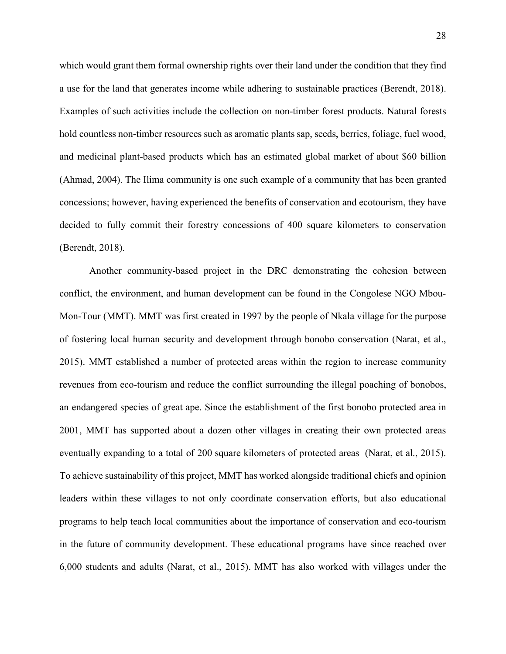which would grant them formal ownership rights over their land under the condition that they find a use for the land that generates income while adhering to sustainable practices (Berendt, 2018). Examples of such activities include the collection on non-timber forest products. Natural forests hold countless non-timber resources such as aromatic plants sap, seeds, berries, foliage, fuel wood, and medicinal plant-based products which has an estimated global market of about \$60 billion (Ahmad, 2004). The Ilima community is one such example of a community that has been granted concessions; however, having experienced the benefits of conservation and ecotourism, they have decided to fully commit their forestry concessions of 400 square kilometers to conservation (Berendt, 2018).

Another community-based project in the DRC demonstrating the cohesion between conflict, the environment, and human development can be found in the Congolese NGO Mbou-Mon-Tour (MMT). MMT was first created in 1997 by the people of Nkala village for the purpose of fostering local human security and development through bonobo conservation (Narat, et al., 2015). MMT established a number of protected areas within the region to increase community revenues from eco-tourism and reduce the conflict surrounding the illegal poaching of bonobos, an endangered species of great ape. Since the establishment of the first bonobo protected area in 2001, MMT has supported about a dozen other villages in creating their own protected areas eventually expanding to a total of 200 square kilometers of protected areas (Narat, et al., 2015). To achieve sustainability of this project, MMT has worked alongside traditional chiefs and opinion leaders within these villages to not only coordinate conservation efforts, but also educational programs to help teach local communities about the importance of conservation and eco-tourism in the future of community development. These educational programs have since reached over 6,000 students and adults (Narat, et al., 2015). MMT has also worked with villages under the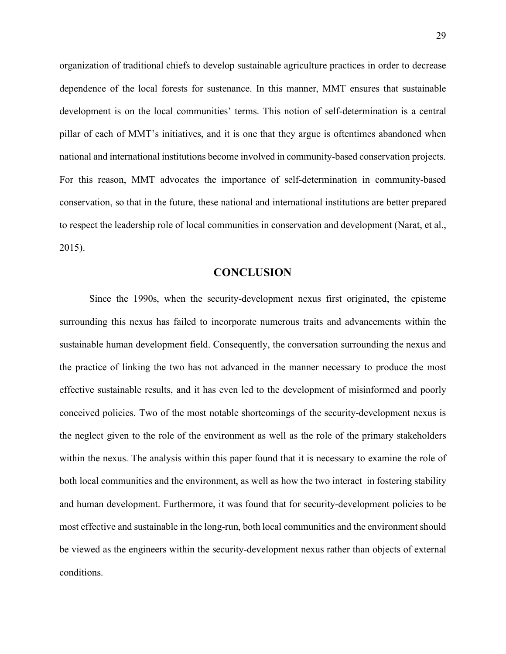organization of traditional chiefs to develop sustainable agriculture practices in order to decrease dependence of the local forests for sustenance. In this manner, MMT ensures that sustainable development is on the local communities' terms. This notion of self-determination is a central pillar of each of MMT's initiatives, and it is one that they argue is oftentimes abandoned when national and international institutions become involved in community-based conservation projects. For this reason, MMT advocates the importance of self-determination in community-based conservation, so that in the future, these national and international institutions are better prepared to respect the leadership role of local communities in conservation and development (Narat, et al., 2015).

# **CONCLUSION**

<span id="page-29-0"></span>Since the 1990s, when the security-development nexus first originated, the episteme surrounding this nexus has failed to incorporate numerous traits and advancements within the sustainable human development field. Consequently, the conversation surrounding the nexus and the practice of linking the two has not advanced in the manner necessary to produce the most effective sustainable results, and it has even led to the development of misinformed and poorly conceived policies. Two of the most notable shortcomings of the security-development nexus is the neglect given to the role of the environment as well as the role of the primary stakeholders within the nexus. The analysis within this paper found that it is necessary to examine the role of both local communities and the environment, as well as how the two interact in fostering stability and human development. Furthermore, it was found that for security-development policies to be most effective and sustainable in the long-run, both local communities and the environment should be viewed as the engineers within the security-development nexus rather than objects of external conditions.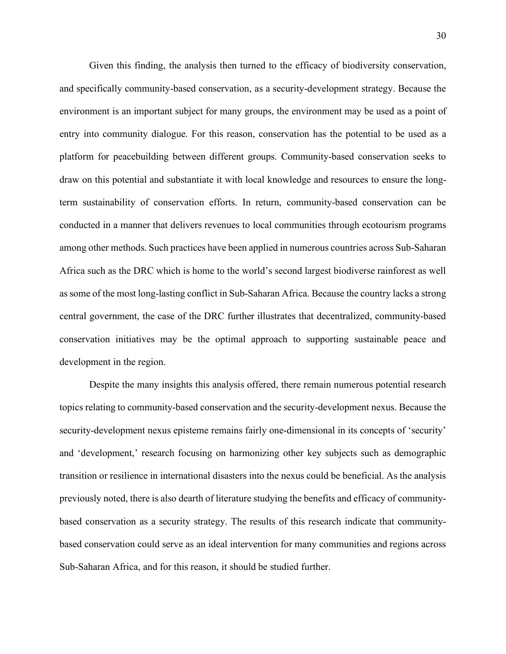Given this finding, the analysis then turned to the efficacy of biodiversity conservation, and specifically community-based conservation, as a security-development strategy. Because the environment is an important subject for many groups, the environment may be used as a point of entry into community dialogue. For this reason, conservation has the potential to be used as a platform for peacebuilding between different groups. Community-based conservation seeks to draw on this potential and substantiate it with local knowledge and resources to ensure the longterm sustainability of conservation efforts. In return, community-based conservation can be conducted in a manner that delivers revenues to local communities through ecotourism programs among other methods. Such practices have been applied in numerous countries across Sub-Saharan Africa such as the DRC which is home to the world's second largest biodiverse rainforest as well as some of the most long-lasting conflict in Sub-Saharan Africa. Because the country lacks a strong central government, the case of the DRC further illustrates that decentralized, community-based conservation initiatives may be the optimal approach to supporting sustainable peace and development in the region.

Despite the many insights this analysis offered, there remain numerous potential research topics relating to community-based conservation and the security-development nexus. Because the security-development nexus episteme remains fairly one-dimensional in its concepts of 'security' and 'development,' research focusing on harmonizing other key subjects such as demographic transition or resilience in international disasters into the nexus could be beneficial. As the analysis previously noted, there is also dearth of literature studying the benefits and efficacy of communitybased conservation as a security strategy. The results of this research indicate that communitybased conservation could serve as an ideal intervention for many communities and regions across Sub-Saharan Africa, and for this reason, it should be studied further.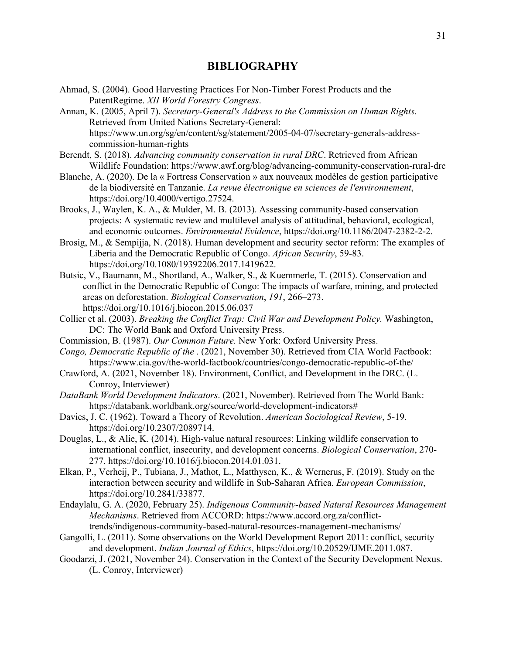# **BIBLIOGRAPHY**

- <span id="page-31-0"></span>Ahmad, S. (2004). Good Harvesting Practices For Non-Timber Forest Products and the PatentRegime. *XII World Forestry Congress*.
- Annan, K. (2005, April 7). *Secretary-General's Address to the Commission on Human Rights*. Retrieved from United Nations Secretary-General: https://www.un.org/sg/en/content/sg/statement/2005-04-07/secretary-generals-addresscommission-human-rights
- Berendt, S. (2018). *Advancing community conservation in rural DRC*. Retrieved from African Wildlife Foundation: https://www.awf.org/blog/advancing-community-conservation-rural-drc
- Blanche, A. (2020). De la « Fortress Conservation » aux nouveaux modèles de gestion participative de la biodiversité en Tanzanie. *La revue électronique en sciences de l'environnement*, https://doi.org/10.4000/vertigo.27524.
- Brooks, J., Waylen, K. A., & Mulder, M. B. (2013). Assessing community-based conservation projects: A systematic review and multilevel analysis of attitudinal, behavioral, ecological, and economic outcomes. *Environmental Evidence*, https://doi.org/10.1186/2047-2382-2-2.
- Brosig, M., & Sempijja, N. (2018). Human development and security sector reform: The examples of Liberia and the Democratic Republic of Congo. *African Security*, 59-83. https://doi.org/10.1080/19392206.2017.1419622.
- Butsic, V., Baumann, M., Shortland, A., Walker, S., & Kuemmerle, T. (2015). Conservation and conflict in the Democratic Republic of Congo: The impacts of warfare, mining, and protected areas on deforestation. *Biological Conservation*, *191*, 266–273. https://doi.org/10.1016/j.biocon.2015.06.037
- Collier et al. (2003). *Breaking the Conflict Trap: Civil War and Development Policy.* Washington, DC: The World Bank and Oxford University Press.
- Commission, B. (1987). *Our Common Future.* New York: Oxford University Press.
- *Congo, Democratic Republic of the* . (2021, November 30). Retrieved from CIA World Factbook: https://www.cia.gov/the-world-factbook/countries/congo-democratic-republic-of-the/
- Crawford, A. (2021, November 18). Environment, Conflict, and Development in the DRC. (L. Conroy, Interviewer)
- *DataBank World Development Indicators*. (2021, November). Retrieved from The World Bank: https://databank.worldbank.org/source/world-development-indicators#
- Davies, J. C. (1962). Toward a Theory of Revolution. *American Sociological Review*, 5-19. https://doi.org/10.2307/2089714.
- Douglas, L., & Alie, K. (2014). High-value natural resources: Linking wildlife conservation to international conflict, insecurity, and development concerns. *Biological Conservation*, 270- 277. https://doi.org/10.1016/j.biocon.2014.01.031.
- Elkan, P., Verheij, P., Tubiana, J., Mathot, L., Matthysen, K., & Wernerus, F. (2019). Study on the interaction between security and wildlife in Sub-Saharan Africa. *European Commission*, https://doi.org/10.2841/33877.
- Endaylalu, G. A. (2020, February 25). *Indigenous Community-based Natural Resources Management Mechanisms*. Retrieved from ACCORD: https://www.accord.org.za/conflicttrends/indigenous-community-based-natural-resources-management-mechanisms/
- Gangolli, L. (2011). Some observations on the World Development Report 2011: conflict, security and development. *Indian Journal of Ethics*, https://doi.org/10.20529/IJME.2011.087.
- Goodarzi, J. (2021, November 24). Conservation in the Context of the Security Development Nexus. (L. Conroy, Interviewer)